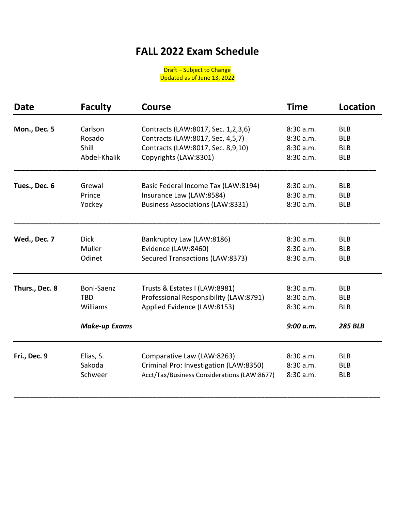## **FALL 2022 Exam Schedule**

Draft – Subject to Change Updated as of June 13, 2022

| <b>Date</b>    | <b>Faculty</b>                                               | <b>Course</b>                                                                                          | <b>Time</b>                                      | Location                                                 |
|----------------|--------------------------------------------------------------|--------------------------------------------------------------------------------------------------------|--------------------------------------------------|----------------------------------------------------------|
| Mon., Dec. 5   | Carlson                                                      | Contracts (LAW:8017, Sec. 1,2,3,6)                                                                     | 8:30 a.m.                                        | <b>BLB</b>                                               |
|                | Rosado                                                       | Contracts (LAW:8017, Sec, 4,5,7)                                                                       | 8:30 a.m.                                        | <b>BLB</b>                                               |
|                | Shill                                                        | Contracts (LAW:8017, Sec. 8,9,10)                                                                      | 8:30 a.m.                                        | <b>BLB</b>                                               |
|                | Abdel-Khalik                                                 | Copyrights (LAW:8301)                                                                                  | 8:30 a.m.                                        | <b>BLB</b>                                               |
| Tues., Dec. 6  | Grewal                                                       | Basic Federal Income Tax (LAW:8194)                                                                    | 8:30 a.m.                                        | <b>BLB</b>                                               |
|                | Prince                                                       | Insurance Law (LAW:8584)                                                                               | 8:30a.m.                                         | <b>BLB</b>                                               |
|                | Yockey                                                       | <b>Business Associations (LAW:8331)</b>                                                                | 8:30 a.m.                                        | <b>BLB</b>                                               |
| Wed., Dec. 7   | <b>Dick</b>                                                  | Bankruptcy Law (LAW:8186)                                                                              | 8:30 a.m.                                        | <b>BLB</b>                                               |
|                | Muller                                                       | Evidence (LAW:8460)                                                                                    | 8:30 a.m.                                        | <b>BLB</b>                                               |
|                | Odinet                                                       | Secured Transactions (LAW:8373)                                                                        | 8:30 a.m.                                        | <b>BLB</b>                                               |
| Thurs., Dec. 8 | Boni-Saenz<br><b>TBD</b><br>Williams<br><b>Make-up Exams</b> | Trusts & Estates I (LAW:8981)<br>Professional Responsibility (LAW:8791)<br>Applied Evidence (LAW:8153) | 8:30 a.m.<br>8:30 a.m.<br>8:30 a.m.<br>9:00 a.m. | <b>BLB</b><br><b>BLB</b><br><b>BLB</b><br><b>285 BLB</b> |
| Fri., Dec. 9   | Elias, S.                                                    | Comparative Law (LAW:8263)                                                                             | 8:30 a.m.                                        | <b>BLB</b>                                               |
|                | Sakoda                                                       | Criminal Pro: Investigation (LAW:8350)                                                                 | 8:30 a.m.                                        | <b>BLB</b>                                               |
|                | Schweer                                                      | Acct/Tax/Business Considerations (LAW:8677)                                                            | 8:30 a.m.                                        | <b>BLB</b>                                               |